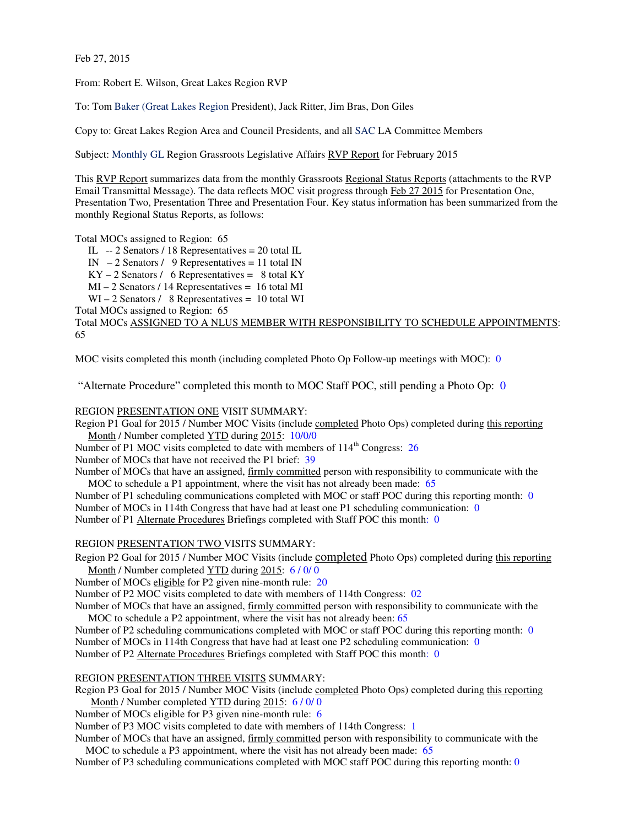Feb 27, 2015

From: Robert E. Wilson, Great Lakes Region RVP

To: Tom Baker (Great Lakes Region President), Jack Ritter, Jim Bras, Don Giles

Copy to: Great Lakes Region Area and Council Presidents, and all SAC LA Committee Members

Subject: Monthly GL Region Grassroots Legislative Affairs RVP Report for February 2015

This RVP Report summarizes data from the monthly Grassroots Regional Status Reports (attachments to the RVP Email Transmittal Message). The data reflects MOC visit progress through Feb 27 2015 for Presentation One, Presentation Two, Presentation Three and Presentation Four. Key status information has been summarized from the monthly Regional Status Reports, as follows:

Total MOCs assigned to Region: 65 IL -- 2 Senators / 18 Representatives = 20 total IL IN  $-2$  Senators / 9 Representatives = 11 total IN  $KY - 2$  Senators / 6 Representatives = 8 total KY MI – 2 Senators / 14 Representatives = 16 total MI WI – 2 Senators / 8 Representatives = 10 total WI Total MOCs assigned to Region: 65 Total MOCs ASSIGNED TO A NLUS MEMBER WITH RESPONSIBILITY TO SCHEDULE APPOINTMENTS: 65

MOC visits completed this month (including completed Photo Op Follow-up meetings with MOC): 0

"Alternate Procedure" completed this month to MOC Staff POC, still pending a Photo Op: 0

REGION PRESENTATION ONE VISIT SUMMARY:

Region P1 Goal for 2015 / Number MOC Visits (include completed Photo Ops) completed during this reporting Month / Number completed YTD during 2015: 10/0/0

Number of P1 MOC visits completed to date with members of 114<sup>th</sup> Congress: 26 Number of MOCs that have not received the P1 brief: 39

Number of MOCs that have an assigned, firmly committed person with responsibility to communicate with the MOC to schedule a P1 appointment, where the visit has not already been made: 65

Number of P1 scheduling communications completed with MOC or staff POC during this reporting month: 0 Number of MOCs in 114th Congress that have had at least one P1 scheduling communication: 0 Number of P1 Alternate Procedures Briefings completed with Staff POC this month: 0

REGION PRESENTATION TWO VISITS SUMMARY:

Region P2 Goal for 2015 / Number MOC Visits (include completed Photo Ops) completed during this reporting Month / Number completed YTD during 2015: 6/0/0

Number of MOCs eligible for P2 given nine-month rule: 20

Number of P2 MOC visits completed to date with members of 114th Congress: 02

Number of MOCs that have an assigned, firmly committed person with responsibility to communicate with the MOC to schedule a P2 appointment, where the visit has not already been: 65

Number of P2 scheduling communications completed with MOC or staff POC during this reporting month: 0 Number of MOCs in 114th Congress that have had at least one P2 scheduling communication: 0

Number of P2 Alternate Procedures Briefings completed with Staff POC this month: 0

## REGION PRESENTATION THREE VISITS SUMMARY:

Region P3 Goal for 2015 / Number MOC Visits (include completed Photo Ops) completed during this reporting Month / Number completed YTD during 2015: 6 / 0/ 0

Number of MOCs eligible for P3 given nine-month rule: 6

Number of P3 MOC visits completed to date with members of 114th Congress: 1

Number of MOCs that have an assigned, firmly committed person with responsibility to communicate with the MOC to schedule a P3 appointment, where the visit has not already been made: 65

Number of P3 scheduling communications completed with MOC staff POC during this reporting month: 0